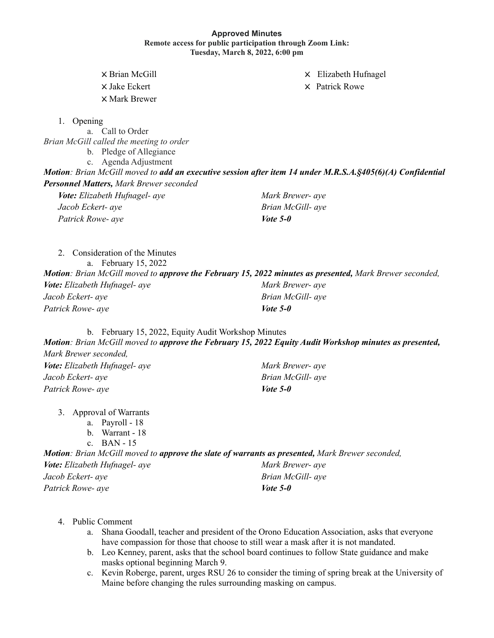## **Approved Minutes Remote access for public participation through Zoom Link: Tuesday, March 8, 2022, 6:00 pm**

X Brian McGill X Elizabeth Hufnagel

 $\times$  Jake Eckert  $\times$  Patrick Rowe

X Mark Brewer

1. Opening

a. Call to Order *Brian McGill called the meeting to order*

b. Pledge of Allegiance

c. Agenda Adjustment

*Motion: Brian McGill moved to add an executive session after item 14 under M.R.S.A.§405(6)(A) Confidential*

*Personnel Matters, Mark Brewer seconded*

| Vote: Elizabeth Hufnagel- aye | Mark Brewer- aye  |
|-------------------------------|-------------------|
| Jacob Eckert- ave             | Brian McGill- aye |
| Patrick Rowe- aye             | <i>Vote</i> 5-0   |

2. Consideration of the Minutes a. February 15, 2022 *Motion: Brian McGill moved to approve the February 15, 2022 minutes as presented, Mark Brewer seconded, Vote: Elizabeth Hufnagel- aye Jacob Eckert- aye Patrick Rowe- aye Mark Brewer- aye Brian McGill- aye Vote 5-0*

b. February 15, 2022, Equity Audit Workshop Minutes

*Motion: Brian McGill moved to approve the February 15, 2022 Equity Audit Workshop minutes as presented, Mark Brewer seconded,*

| Vote: Elizabeth Hufnagel- aye | Mark Brewer- aye  |
|-------------------------------|-------------------|
| Jacob Eckert- aye             | Brian McGill- aye |
| Patrick Rowe- aye             | Vote 5-0          |

- 3. Approval of Warrants
	- a. Payroll 18
	- b. Warrant 18

c. BAN - 15

*Motion: Brian McGill moved to approve the slate of warrants as presented, Mark Brewer seconded, Vote: Elizabeth Hufnagel- aye Jacob Eckert- aye Patrick Rowe- aye Mark Brewer- aye Brian McGill- aye Vote 5-0*

- 4. Public Comment
	- a. Shana Goodall, teacher and president of the Orono Education Association, asks that everyone have compassion for those that choose to still wear a mask after it is not mandated.
	- b. Leo Kenney, parent, asks that the school board continues to follow State guidance and make masks optional beginning March 9.
	- c. Kevin Roberge, parent, urges RSU 26 to consider the timing of spring break at the University of Maine before changing the rules surrounding masking on campus.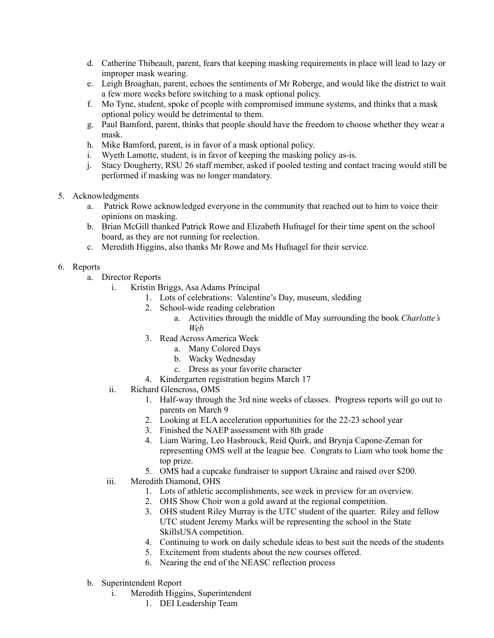- d. Catherine Thibeault, parent, fears that keeping masking requirements in place will lead to lazy or improper mask wearing.
- e. Leigh Broaghan, parent, echoes the sentiments of Mr Roberge, and would like the district to wait a few more weeks before switching to a mask optional policy.
- f. Mo Tyne, student, spoke of people with compromised immune systems, and thinks that a mask optional policy would be detrimental to them.
- g. Paul Bamford, parent, thinks that people should have the freedom to choose whether they wear a mask.
- h. Mike Bamford, parent, is in favor of a mask optional policy.
- i. Wyeth Lamotte, student, is in favor of keeping the masking policy as-is.
- j. Stacy Dougherty, RSU 26 staff member, asked if pooled testing and contact tracing would still be performed if masking was no longer mandatory.
- 5. Acknowledgments
	- a. Patrick Rowe acknowledged everyone in the community that reached out to him to voice their opinions on masking.
	- b. Brian McGill thanked Patrick Rowe and Elizabeth Hufnagel for their time spent on the school board, as they are not running for reelection.
	- c. Meredith Higgins, also thanks Mr Rowe and Ms Hufnagel for their service.

## 6. Reports

- a. Director Reports
	- i. Kristin Briggs, Asa Adams Principal
		- 1. Lots of celebrations: Valentine's Day, museum, sledding
		- 2. School-wide reading celebration
			- a. Activities through the middle of May surrounding the book *Charlotte's Web*
		- 3. Read Across America Week
			- a. Many Colored Days
			- b. Wacky Wednesday
			- c. Dress as your favorite character
		- 4. Kindergarten registration begins March 17
	- ii. Richard Glencross, OMS
		- 1. Half-way through the 3rd nine weeks of classes. Progress reports will go out to parents on March 9
		- 2. Looking at ELA acceleration opportunities for the 22-23 school year
		- 3. Finished the NAEP assessment with 8th grade
		- 4. Liam Waring, Leo Hasbrouck, Reid Quirk, and Brynja Capone-Zeman for representing OMS well at the league bee. Congrats to Liam who took home the top prize.
		- 5. OMS had a cupcake fundraiser to support Ukraine and raised over \$200.
	- iii. Meredith Diamond, OHS
		- 1. Lots of athletic accomplishments, see week in preview for an overview.
		- 2. OHS Show Choir won a gold award at the regional competition.
		- 3. OHS student Riley Murray is the UTC student of the quarter. Riley and fellow UTC student Jeremy Marks will be representing the school in the State SkillsUSA competition.
		- 4. Continuing to work on daily schedule ideas to best suit the needs of the students
		- 5. Excitement from students about the new courses offered.
		- 6. Nearing the end of the NEASC reflection process
- b. Superintendent Report
	- i. Meredith Higgins, Superintendent
		- 1. DEI Leadership Team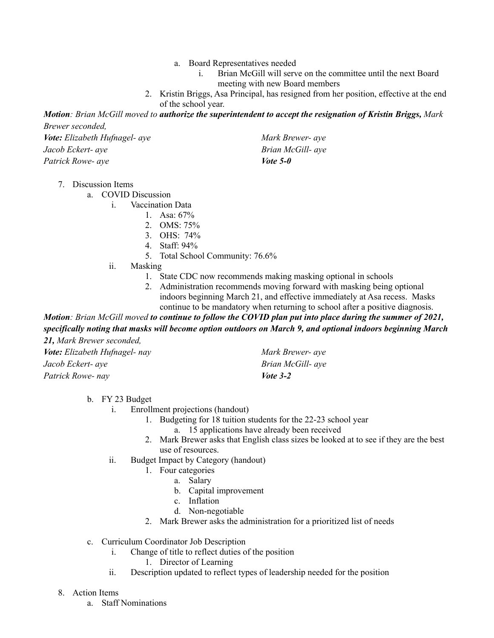- a. Board Representatives needed
	- i. Brian McGill will serve on the committee until the next Board meeting with new Board members
- 2. Kristin Briggs, Asa Principal, has resigned from her position, effective at the end of the school year.

Motion: Brian McGill moved to authorize the superintendent to accept the resignation of Kristin Briggs, Mark *Brewer seconded,*

| Vote: Elizabeth Hufnagel- aye | Mark Brewer- aye  |
|-------------------------------|-------------------|
| Jacob Eckert- ave             | Brian McGill- aye |
| Patrick Rowe- aye             | Vote 5-0          |

7. Discussion Items

a. COVID Discussion

i. Vaccination Data

- 1. Asa:  $67\%$
- 2. OMS: 75%
- 3. OHS: 74%
- 4. Staff: 94%
- 5. Total School Community: 76.6%
- ii. Masking
	- 1. State CDC now recommends making masking optional in schools
	- 2. Administration recommends moving forward with masking being optional indoors beginning March 21, and effective immediately at Asa recess. Masks continue to be mandatory when returning to school after a positive diagnosis.

Motion: Brian McGill moved to continue to follow the COVID plan put into place during the summer of 2021, *specifically noting that masks will become option outdoors on March 9, and optional indoors beginning March 21, Mark Brewer seconded,*

| Vote: Elizabeth Hufnagel- nay | Mark Brewer- aye  |
|-------------------------------|-------------------|
| Jacob Eckert- aye             | Brian McGill- aye |
| Patrick Rowe- nay             | <i>Vote</i> $3-2$ |

b. FY 23 Budget

- i. Enrollment projections (handout)
	- 1. Budgeting for 18 tuition students for the 22-23 school year
		- a. 15 applications have already been received
	- 2. Mark Brewer asks that English class sizes be looked at to see if they are the best use of resources.
- ii. Budget Impact by Category (handout)
	- 1. Four categories
		- a. Salary
		- b. Capital improvement
		- c. Inflation
		- d. Non-negotiable
	- 2. Mark Brewer asks the administration for a prioritized list of needs
- c. Curriculum Coordinator Job Description
	- i. Change of title to reflect duties of the position
		- 1. Director of Learning
	- ii. Description updated to reflect types of leadership needed for the position
- 8. Action Items
	- a. Staff Nominations